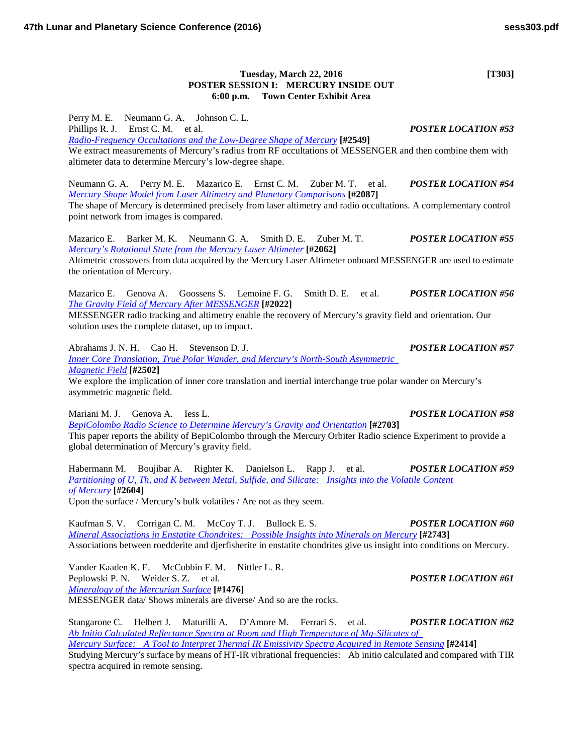## **Tuesday, March 22, 2016 [T303] POSTER SESSION I: MERCURY INSIDE OUT 6:00 p.m. Town Center Exhibit Area**

Perry M. E. Neumann G. A. Johnson C. L. Phillips R. J. Ernst C. M. et al. *POSTER LOCATION #53 [Radio-Frequency Occultations and the Low-Degree Shape of](http://www.hou.usra.edu/meetings/lpsc2016/pdf/2549.pdf) Mercury* **[#2549]** We extract measurements of Mercury's radius from RF occultations of MESSENGER and then combine them with altimeter data to determine Mercury's low-degree shape.

Neumann G. A. Perry M. E. Mazarico E. Ernst C. M. Zuber M. T. et al. *POSTER LOCATION #54 [Mercury Shape Model from Laser Altimetry and Planetary](http://www.hou.usra.edu/meetings/lpsc2016/pdf/2087.pdf) Comparisons* **[#2087]**

The shape of Mercury is determined precisely from laser altimetry and radio occultations. A complementary control point network from images is compared.

Mazarico E. Barker M. K. Neumann G. A. Smith D. E. Zuber M. T. *POSTER LOCATION #55 [Mercury's Rotational State from the Mercury Laser](http://www.hou.usra.edu/meetings/lpsc2016/pdf/2062.pdf) Altimeter* **[#2062]**

Altimetric crossovers from data acquired by the Mercury Laser Altimeter onboard MESSENGER are used to estimate the orientation of Mercury.

Mazarico E. Genova A. Goossens S. Lemoine F. G. Smith D. E. et al. *POSTER LOCATION #56 [The Gravity Field of Mercury After](http://www.hou.usra.edu/meetings/lpsc2016/pdf/2022.pdf) MESSENGER* **[#2022]**

MESSENGER radio tracking and altimetry enable the recovery of Mercury's gravity field and orientation. Our solution uses the complete dataset, up to impact.

Abrahams J. N. H. Cao H. Stevenson D. J. *POSTER LOCATION #57 [Inner Core Translation, True Polar Wander, and Mercury's North-South Asymmetric](http://www.hou.usra.edu/meetings/lpsc2016/pdf/2502.pdf)  [Magnetic](http://www.hou.usra.edu/meetings/lpsc2016/pdf/2502.pdf) Field* **[#2502]**

We explore the implication of inner core translation and inertial interchange true polar wander on Mercury's asymmetric magnetic field.

Mariani M. J. Genova A. Iess L. *POSTER LOCATION #58*

*[BepiColombo Radio Science to Determine Mercury's Gravity and](http://www.hou.usra.edu/meetings/lpsc2016/pdf/2703.pdf) Orientation* **[#2703]** This paper reports the ability of BepiColombo through the Mercury Orbiter Radio science Experiment to provide a global determination of Mercury's gravity field.

Habermann M. Boujibar A. Righter K. Danielson L. Rapp J. et al. *POSTER LOCATION #59 [Partitioning of U, Th, and K between Metal, Sulfide, and Silicate: Insights into the Volatile Content](http://www.hou.usra.edu/meetings/lpsc2016/pdf/2604.pdf)  of [Mercury](http://www.hou.usra.edu/meetings/lpsc2016/pdf/2604.pdf)* **[#2604]** Upon the surface / Mercury's bulk volatiles / Are not as they seem.

Kaufman S. V. Corrigan C. M. McCoy T. J. Bullock E. S. *POSTER LOCATION #60 [Mineral Associations in Enstatite Chondrites: Possible Insights into Minerals on](http://www.hou.usra.edu/meetings/lpsc2016/pdf/2743.pdf) Mercury* **[#2743]** Associations between roedderite and djerfisherite in enstatite chondrites give us insight into conditions on Mercury.

Vander Kaaden K. E. McCubbin F. M. Nittler L. R. Peplowski P. N. Weider S. Z. et al. *POSTER LOCATION #61 [Mineralogy of the Mercurian](http://www.hou.usra.edu/meetings/lpsc2016/pdf/1476.pdf) Surface* **[#1476]**

MESSENGER data/ Shows minerals are diverse/ And so are the rocks.

Stangarone C. Helbert J. Maturilli A. D'Amore M. Ferrari S. et al. *POSTER LOCATION #62 [Ab Initio Calculated Reflectance Spectra at Room and High Temperature of Mg-Silicates of](http://www.hou.usra.edu/meetings/lpsc2016/pdf/2414.pdf) [Mercury Surface: A Tool to Interpret Thermal IR Emissivity Spectra Acquired in Remote](http://www.hou.usra.edu/meetings/lpsc2016/pdf/2414.pdf) Sensing* [#2414] Studying Mercury's surface by means of HT-IR vibrational frequencies: Ab initio calculated and compared with TIR spectra acquired in remote sensing.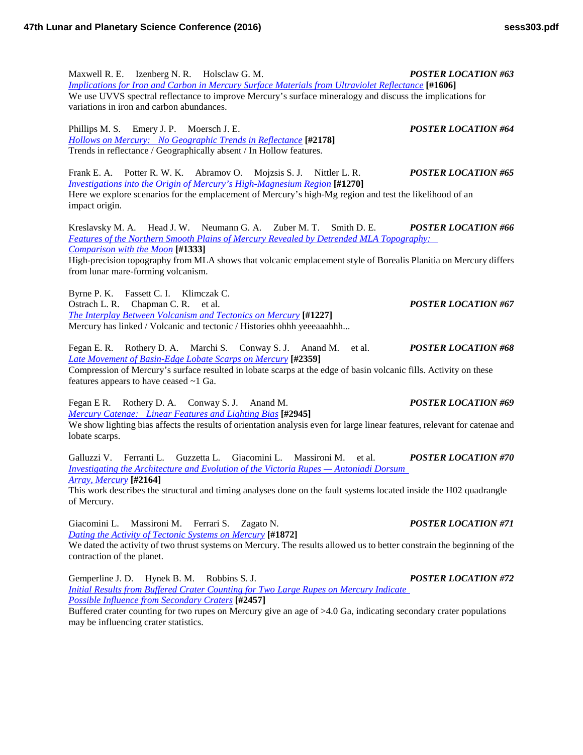Maxwell R. E. Izenberg N. R. Holsclaw G. M. *POSTER LOCATION #63 [Implications for Iron and Carbon in Mercury Surface Materials from Ultraviolet](http://www.hou.usra.edu/meetings/lpsc2016/pdf/1606.pdf) Reflectance* **[#1606]** We use UVVS spectral reflectance to improve Mercury's surface mineralogy and discuss the implications for variations in iron and carbon abundances. Phillips M. S. Emery J. P. Moersch J. E. *POSTER LOCATION #64 [Hollows on Mercury: No Geographic Trends in](http://www.hou.usra.edu/meetings/lpsc2016/pdf/2178.pdf) Reflectance* **[#2178]** Trends in reflectance / Geographically absent / In Hollow features. Frank E. A. Potter R. W. K. Abramov O. Mojzsis S. J. Nittler L. R. *POSTER LOCATION #65 [Investigations into the Origin of Mercury's High-Magnesium](http://www.hou.usra.edu/meetings/lpsc2016/pdf/1270.pdf) Region* **[#1270]** Here we explore scenarios for the emplacement of Mercury's high-Mg region and test the likelihood of an impact origin. Kreslavsky M. A. Head J. W. Neumann G. A. Zuber M. T. Smith D. E. *POSTER LOCATION #66 [Features of the Northern Smooth Plains of Mercury Revealed by Detrended MLA Topography:](http://www.hou.usra.edu/meetings/lpsc2016/pdf/1333.pdf)  [Comparison with](http://www.hou.usra.edu/meetings/lpsc2016/pdf/1333.pdf) the Moon* **[#1333]** High-precision topography from MLA shows that volcanic emplacement style of Borealis Planitia on Mercury differs from lunar mare-forming volcanism. Byrne P. K. Fassett C. I. Klimczak C. Ostrach L. R. Chapman C. R. et al. *POSTER LOCATION #67 [The Interplay Between Volcanism and Tectonics on](http://www.hou.usra.edu/meetings/lpsc2016/pdf/1227.pdf) Mercury* **[#1227]** Mercury has linked / Volcanic and tectonic / Histories ohhh yeeeaaahhh... Fegan E. R. Rothery D. A. Marchi S. Conway S. J. Anand M. et al. *POSTER LOCATION #68 [Late Movement of Basin-Edge Lobate Scarps on](http://www.hou.usra.edu/meetings/lpsc2016/pdf/2359.pdf) Mercury* **[#2359]** Compression of Mercury's surface resulted in lobate scarps at the edge of basin volcanic fills. Activity on these features appears to have ceased ~1 Ga.

Fegan E R. Rothery D. A. Conway S. J. Anand M. *POSTER LOCATION #69 [Mercury Catenae: Linear Features and Lighting](http://www.hou.usra.edu/meetings/lpsc2016/pdf/2945.pdf) Bias* **[#2945]**

We show lighting bias affects the results of orientation analysis even for large linear features, relevant for catenae and lobate scarps.

Galluzzi V. Ferranti L. Guzzetta L. Giacomini L. Massironi M. et al. *POSTER LOCATION #70 [Investigating the Architecture and Evolution of the Victoria Rupes —](http://www.hou.usra.edu/meetings/lpsc2016/pdf/2164.pdf) Antoniadi Dorsum Array, [Mercury](http://www.hou.usra.edu/meetings/lpsc2016/pdf/2164.pdf)* **[#2164]**

This work describes the structural and timing analyses done on the fault systems located inside the H02 quadrangle of Mercury.

Giacomini L. Massironi M. Ferrari S. Zagato N. *POSTER LOCATION #71 [Dating the Activity of Tectonic Systems on](http://www.hou.usra.edu/meetings/lpsc2016/pdf/1872.pdf) Mercury* **[#1872]**

We dated the activity of two thrust systems on Mercury. The results allowed us to better constrain the beginning of the contraction of the planet.

Gemperline J. D. Hynek B. M. Robbins S. J. *POSTER LOCATION #72 [Initial Results from Buffered Crater Counting for Two Large Rupes on Mercury Indicate](http://www.hou.usra.edu/meetings/lpsc2016/pdf/2457.pdf)  [Possible Influence from Secondary](http://www.hou.usra.edu/meetings/lpsc2016/pdf/2457.pdf) Craters* **[#2457]**

Buffered crater counting for two rupes on Mercury give an age of >4.0 Ga, indicating secondary crater populations may be influencing crater statistics.